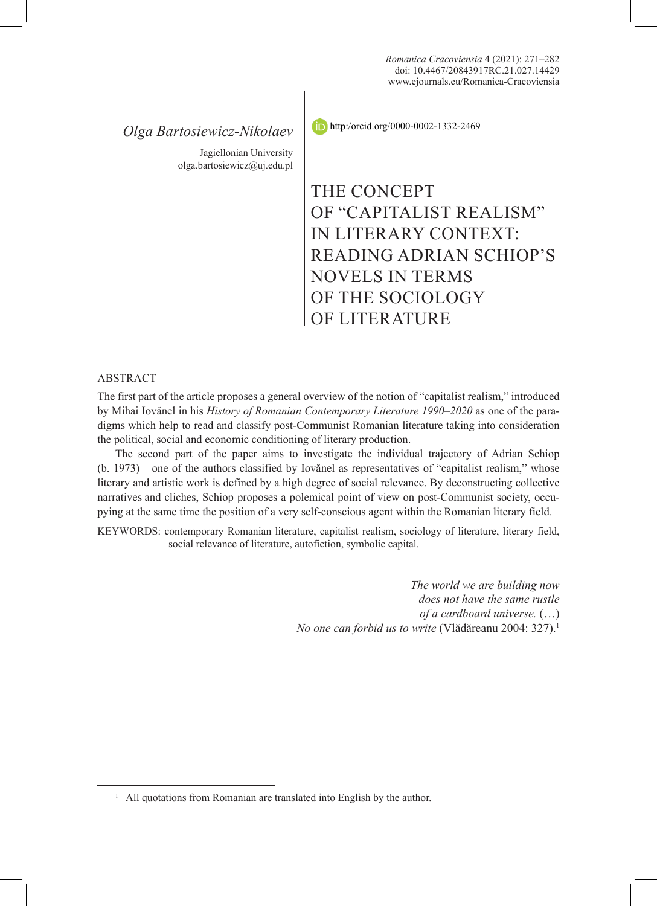# *Olga Bartosiewicz-Nikolaev*

Jagiellonian University olga.bartosiewicz@uj.edu.pl http:/orcid.org/0000-0002-1332-2469

THE CONCEPT OF "CAPITALIST REALISM" IN LITERARY CONTEXT: READING ADRIAN SCHIOP'S NOVELS IN TERMS OF THE SOCIOLOGY OF LITERATURE

### ABSTRACT

The first part of the article proposes a general overview of the notion of "capitalist realism," introduced by Mihai Iovănel in his *History of Romanian Contemporary Literature 1990‒2020* as one of the paradigms which help to read and classify post-Communist Romanian literature taking into consideration the political, social and economic conditioning of literary production.

The second part of the paper aims to investigate the individual trajectory of Adrian Schiop  $(b. 1973)$  – one of the authors classified by Iovănel as representatives of "capitalist realism," whose literary and artistic work is defined by a high degree of social relevance. By deconstructing collective narratives and cliches, Schiop proposes a polemical point of view on post-Communist society, occupying at the same time the position of a very self-conscious agent within the Romanian literary field.

KEYWORDS: contemporary Romanian literature, capitalist realism, sociology of literature, literary field, social relevance of literature, autofiction, symbolic capital.

> *The world we are building now does not have the same rustle of a cardboard universe.* (…) *No one can forbid us to write* (Vlădăreanu 2004: 327).<sup>1</sup>

<sup>&</sup>lt;sup>1</sup> All quotations from Romanian are translated into English by the author.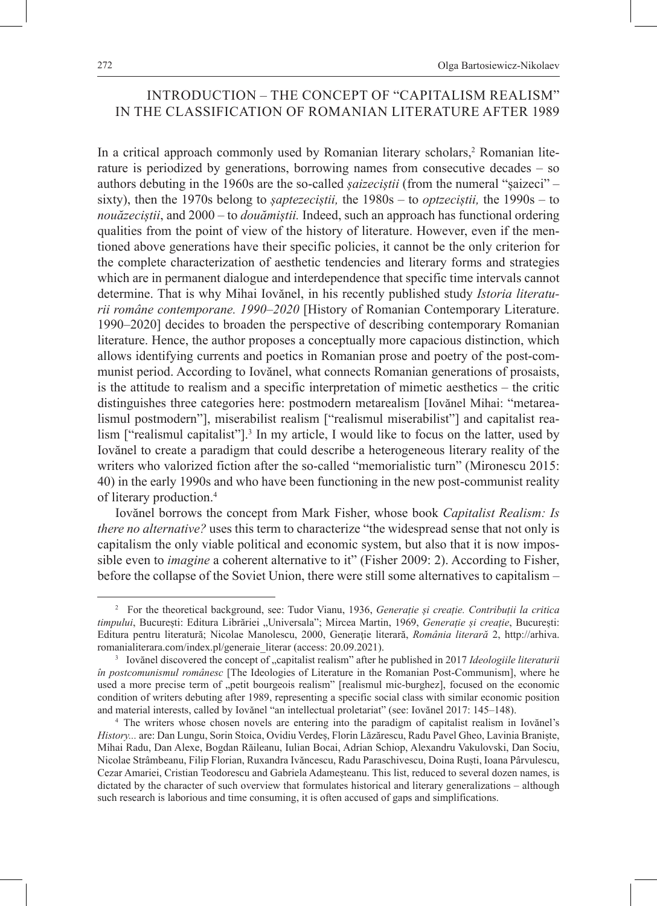## INTRODUCTION – THE CONCEPT OF "CAPITALISM REALISM" IN THE CLASSIFICATION OF ROMANIAN LITERATURE AFTER 1989

In a critical approach commonly used by Romanian literary scholars,<sup>2</sup> Romanian literature is periodized by generations, borrowing names from consecutive decades – so authors debuting in the 1960s are the so-called *șaizeciștii* (from the numeral "șaizeci" – sixty), then the 1970s belong to *șaptezeciștii,* the 1980s – to *optzeciștii,* the 1990s – to *nouăzeciștii*, and 2000 – to *douămiștii.* Indeed, such an approach has functional ordering qualities from the point of view of the history of literature. However, even if the mentioned above generations have their specific policies, it cannot be the only criterion for the complete characterization of aesthetic tendencies and literary forms and strategies which are in permanent dialogue and interdependence that specific time intervals cannot determine. That is why Mihai Iovănel, in his recently published study *Istoria literaturii române contemporane. 1990‒2020* [History of Romanian Contemporary Literature. 1990–2020] decides to broaden the perspective of describing contemporary Romanian literature. Hence, the author proposes a conceptually more capacious distinction, which allows identifying currents and poetics in Romanian prose and poetry of the post-communist period. According to Iovănel, what connects Romanian generations of prosaists, is the attitude to realism and a specific interpretation of mimetic aesthetics – the critic distinguishes three categories here: postmodern metarealism [Iovănel Mihai: "metarealismul postmodern"], miserabilist realism ["realismul miserabilist"] and capitalist realism ["realismul capitalist"]<sup>3</sup>. In my article, I would like to focus on the latter, used by Iovănel to create a paradigm that could describe a heterogeneous literary reality of the writers who valorized fiction after the so-called "memorialistic turn" (Mironescu 2015: 40) in the early 1990s and who have been functioning in the new post-communist reality of literary production.<sup>4</sup>

Iovănel borrows the concept from Mark Fisher, whose book *Capitalist Realism: Is there no alternative?* uses this term to characterize "the widespread sense that not only is capitalism the only viable political and economic system, but also that it is now impossible even to *imagine* a coherent alternative to it" (Fisher 2009: 2). According to Fisher, before the collapse of the Soviet Union, there were still some alternatives to capitalism –

<sup>2</sup> For the theoretical background, see: Tudor Vianu, 1936, *Generație și creație. Contribuții la critica timpului*, București: Editura Librăriei "Universala"; Mircea Martin, 1969, *Generație și creație*, București: Editura pentru literatură; Nicolae Manolescu, 2000, Generaţie literară, *România literară* 2, http://arhiva. romanialiterara.com/index.pl/generaie\_literar (access: 20.09.2021).

<sup>&</sup>lt;sup>3</sup> Iovănel discovered the concept of "capitalist realism" after he published in 2017 *Ideologiile literaturii în postcomunismul românesc* [The Ideologies of Literature in the Romanian Post-Communism], where he used a more precise term of "petit bourgeois realism" [realismul mic-burghez], focused on the economic condition of writers debuting after 1989, representing a specific social class with similar economic position and material interests, called by Iovănel "an intellectual proletariat" (see: Iovănel 2017: 145–148).

<sup>4</sup> The writers whose chosen novels are entering into the paradigm of capitalist realism in Iovănel's *History...* are: Dan Lungu, Sorin Stoica, Ovidiu Verdeș, Florin Lăzărescu, Radu Pavel Gheo, Lavinia Braniște, Mihai Radu, Dan Alexe, Bogdan Răileanu, Iulian Bocai, Adrian Schiop, Alexandru Vakulovski, Dan Sociu, Nicolae Strâmbeanu, Filip Florian, Ruxandra Ivăncescu, Radu Paraschivescu, Doina Ruști, Ioana Pârvulescu, Cezar Amariei, Cristian Teodorescu and Gabriela Adameșteanu. This list, reduced to several dozen names, is dictated by the character of such overview that formulates historical and literary generalizations – although such research is laborious and time consuming, it is often accused of gaps and simplifications.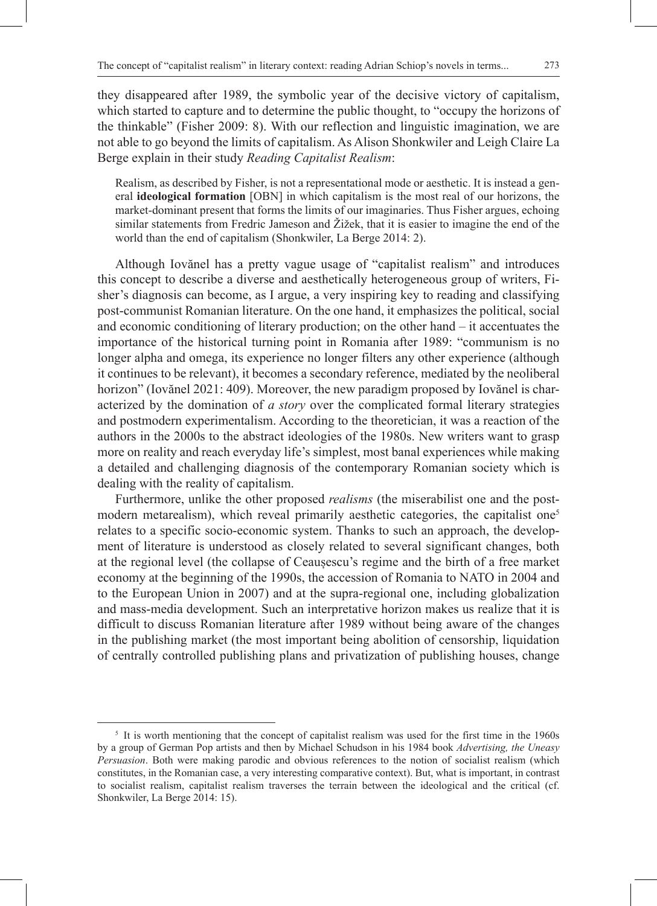they disappeared after 1989, the symbolic year of the decisive victory of capitalism, which started to capture and to determine the public thought, to "occupy the horizons of the thinkable" (Fisher 2009: 8). With our reflection and linguistic imagination, we are not able to go beyond the limits of capitalism. As Alison Shonkwiler and Leigh Claire La Berge explain in their study *Reading Capitalist Realism*:

Realism, as described by Fisher, is not a representational mode or aesthetic. It is instead a general **ideological formation** [OBN] in which capitalism is the most real of our horizons, the market-dominant present that forms the limits of our imaginaries. Thus Fisher argues, echoing similar statements from Fredric Jameson and Žižek, that it is easier to imagine the end of the world than the end of capitalism (Shonkwiler, La Berge 2014: 2).

Although Iovănel has a pretty vague usage of "capitalist realism" and introduces this concept to describe a diverse and aesthetically heterogeneous group of writers, Fisher's diagnosis can become, as I argue, a very inspiring key to reading and classifying post-communist Romanian literature. On the one hand, it emphasizes the political, social and economic conditioning of literary production; on the other hand – it accentuates the importance of the historical turning point in Romania after 1989: "communism is no longer alpha and omega, its experience no longer filters any other experience (although it continues to be relevant), it becomes a secondary reference, mediated by the neoliberal horizon" (Iovănel 2021: 409). Moreover, the new paradigm proposed by Iovănel is characterized by the domination of *a story* over the complicated formal literary strategies and postmodern experimentalism. According to the theoretician, it was a reaction of the authors in the 2000s to the abstract ideologies of the 1980s. New writers want to grasp more on reality and reach everyday life's simplest, most banal experiences while making a detailed and challenging diagnosis of the contemporary Romanian society which is dealing with the reality of capitalism.

Furthermore, unlike the other proposed *realisms* (the miserabilist one and the postmodern metarealism), which reveal primarily aesthetic categories, the capitalist one<sup>5</sup> relates to a specific socio-economic system. Thanks to such an approach, the development of literature is understood as closely related to several significant changes, both at the regional level (the collapse of Ceaușescu's regime and the birth of a free market economy at the beginning of the 1990s, the accession of Romania to NATO in 2004 and to the European Union in 2007) and at the supra-regional one, including globalization and mass-media development. Such an interpretative horizon makes us realize that it is difficult to discuss Romanian literature after 1989 without being aware of the changes in the publishing market (the most important being abolition of censorship, liquidation of centrally controlled publishing plans and privatization of publishing houses, change

<sup>&</sup>lt;sup>5</sup> It is worth mentioning that the concept of capitalist realism was used for the first time in the 1960s by a group of German Pop artists and then by Michael Schudson in his 1984 book *Advertising, the Uneasy Persuasion*. Both were making parodic and obvious references to the notion of socialist realism (which constitutes, in the Romanian case, a very interesting comparative context). But, what is important, in contrast to socialist realism, capitalist realism traverses the terrain between the ideological and the critical (cf. Shonkwiler, La Berge 2014: 15).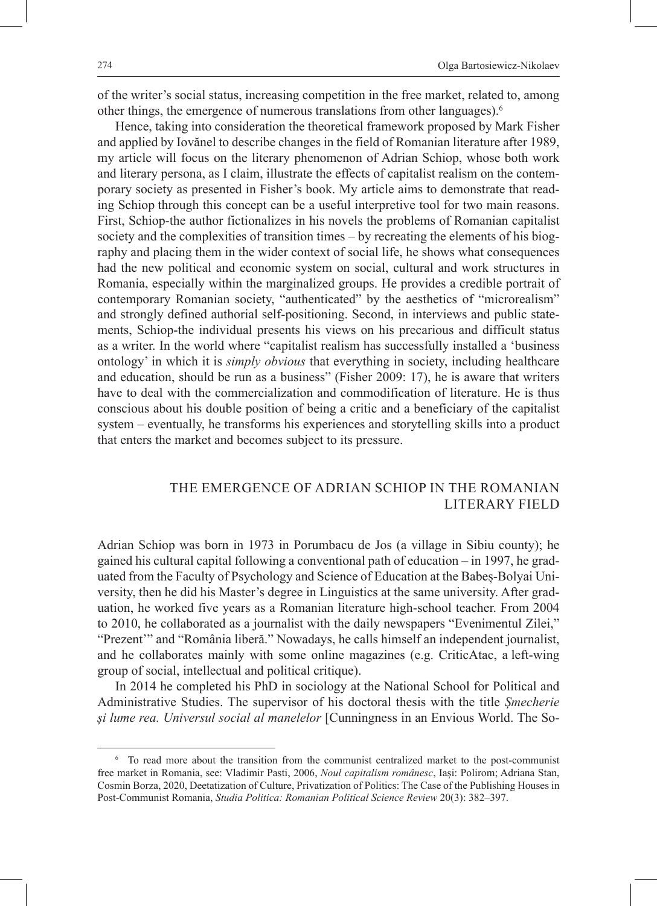of the writer's social status, increasing competition in the free market, related to, among other things, the emergence of numerous translations from other languages).<sup>6</sup>

Hence, taking into consideration the theoretical framework proposed by Mark Fisher and applied by Iovănel to describe changes in the field of Romanian literature after 1989, my article will focus on the literary phenomenon of Adrian Schiop, whose both work and literary persona, as I claim, illustrate the effects of capitalist realism on the contemporary society as presented in Fisher's book. My article aims to demonstrate that reading Schiop through this concept can be a useful interpretive tool for two main reasons. First, Schiop-the author fictionalizes in his novels the problems of Romanian capitalist society and the complexities of transition times – by recreating the elements of his biography and placing them in the wider context of social life, he shows what consequences had the new political and economic system on social, cultural and work structures in Romania, especially within the marginalized groups. He provides a credible portrait of contemporary Romanian society, "authenticated" by the aesthetics of "microrealism" and strongly defined authorial self-positioning. Second, in interviews and public statements, Schiop-the individual presents his views on his precarious and difficult status as a writer. In the world where "capitalist realism has successfully installed a 'business ontology' in which it is *simply obvious* that everything in society, including healthcare and education, should be run as a business" (Fisher 2009: 17), he is aware that writers have to deal with the commercialization and commodification of literature. He is thus conscious about his double position of being a critic and a beneficiary of the capitalist system – eventually, he transforms his experiences and storytelling skills into a product that enters the market and becomes subject to its pressure.

### THE EMERGENCE OF ADRIAN SCHIOP IN THE ROMANIAN LITERARY FIELD

Adrian Schiop was born in 1973 in Porumbacu de Jos (a village in Sibiu county); he gained his cultural capital following a conventional path of education – in 1997, he graduated from the Faculty of Psychology and Science of Education at the Babeș-Bolyai University, then he did his Master's degree in Linguistics at the same university. After graduation, he worked five years as a Romanian literature high-school teacher. From 2004 to 2010, he collaborated as a journalist with the daily newspapers "Evenimentul Zilei," "Prezent'" and "România liberă." Nowadays, he calls himself an independent journalist, and he collaborates mainly with some online magazines (e.g. CriticAtac, a left-wing group of social, intellectual and political critique).

In 2014 he completed his PhD in sociology at the National School for Political and Administrative Studies. The supervisor of his doctoral thesis with the title *Șmecherie și lume rea. Universul social al manelelor* [Cunningness in an Envious World. The So-

<sup>6</sup> To read more about the transition from the communist centralized market to the post-communist free market in Romania, see: Vladimir Pasti, 2006, *Noul capitalism românesc*, Iași: Polirom; Adriana Stan, Cosmin Borza, 2020, Deetatization of Culture, Privatization of Politics: The Case of the Publishing Houses in Post-Communist Romania, *Studia Politica: Romanian Political Science Review* 20(3): 382‒397.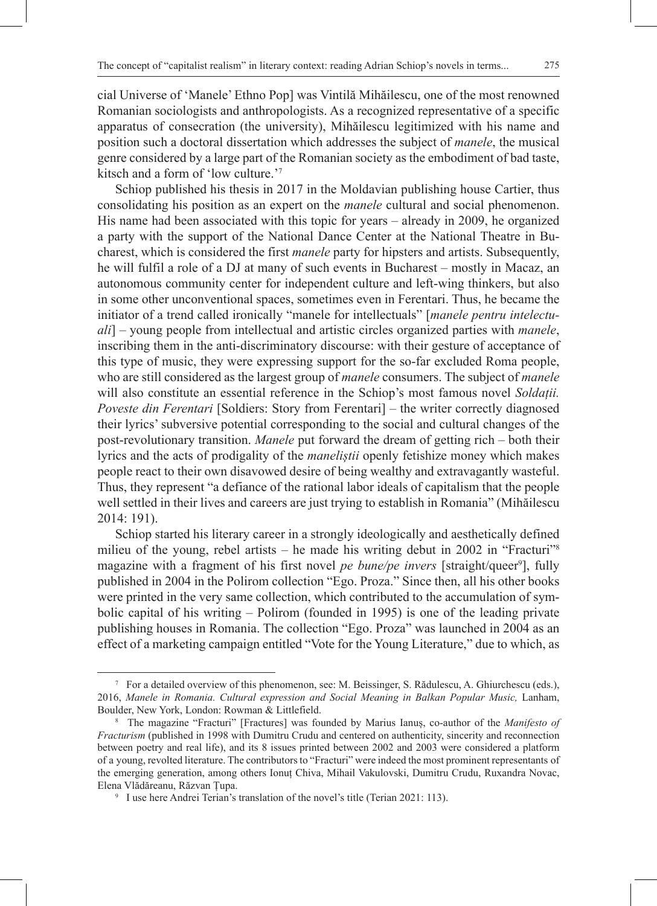275

cial Universe of 'Manele' Ethno Pop] was Vintilă Mihăilescu, one of the most renowned Romanian sociologists and anthropologists. As a recognized representative of a specific apparatus of consecration (the university), Mihăilescu legitimized with his name and position such a doctoral dissertation which addresses the subject of *manele*, the musical genre considered by a large part of the Romanian society as the embodiment of bad taste, kitsch and a form of 'low culture.'7

Schiop published his thesis in 2017 in the Moldavian publishing house Cartier, thus consolidating his position as an expert on the *manele* cultural and social phenomenon. His name had been associated with this topic for years – already in 2009, he organized a party with the support of the National Dance Center at the National Theatre in Bucharest, which is considered the first *manele* party for hipsters and artists. Subsequently, he will fulfil a role of a DJ at many of such events in Bucharest – mostly in Macaz, an autonomous community center for independent culture and left-wing thinkers, but also in some other unconventional spaces, sometimes even in Ferentari. Thus, he became the initiator of a trend called ironically "manele for intellectuals" [*manele pentru intelectuali*] – young people from intellectual and artistic circles organized parties with *manele*, inscribing them in the anti-discriminatory discourse: with their gesture of acceptance of this type of music, they were expressing support for the so-far excluded Roma people, who are still considered as the largest group of *manele* consumers. The subject of *manele* will also constitute an essential reference in the Schiop's most famous novel *Soldații. Poveste din Ferentari* [Soldiers: Story from Ferentari] *–* the writer correctly diagnosed their lyrics' subversive potential corresponding to the social and cultural changes of the post-revolutionary transition. *Manele* put forward the dream of getting rich – both their lyrics and the acts of prodigality of the *maneliștii* openly fetishize money which makes people react to their own disavowed desire of being wealthy and extravagantly wasteful. Thus, they represent "a defiance of the rational labor ideals of capitalism that the people well settled in their lives and careers are just trying to establish in Romania" (Mihăilescu 2014: 191).

Schiop started his literary career in a strongly ideologically and aesthetically defined milieu of the young, rebel artists – he made his writing debut in 2002 in "Fracturi"<sup>8</sup> magazine with a fragment of his first novel *pe bune/pe invers* [straight/queer<sup>9</sup>], fully published in 2004 in the Polirom collection "Ego. Proza." Since then, all his other books were printed in the very same collection, which contributed to the accumulation of symbolic capital of his writing – Polirom (founded in 1995) is one of the leading private publishing houses in Romania. The collection "Ego. Proza" was launched in 2004 as an effect of a marketing campaign entitled "Vote for the Young Literature," due to which, as

<sup>7</sup> For a detailed overview of this phenomenon, see: M. Beissinger, S. Rădulescu, A. Ghiurchescu (eds.), 2016, *Manele in Romania. Cultural expression and Social Meaning in Balkan Popular Music,* Lanham, Boulder, New York, London: Rowman & Littlefield.

<sup>8</sup> The magazine "Fracturi" [Fractures] was founded by Marius Ianuș, co-author of the *Manifesto of Fracturism* (published in 1998 with Dumitru Crudu and centered on authenticity, sincerity and reconnection between poetry and real life), and its 8 issues printed between 2002 and 2003 were considered a platform of a young, revolted literature. The contributors to "Fracturi" were indeed the most prominent representants of the emerging generation, among others Ionuț Chiva, Mihail Vakulovski, Dumitru Crudu, Ruxandra Novac, Elena Vlădăreanu, Răzvan Țupa.

<sup>&</sup>lt;sup>9</sup> I use here Andrei Terian's translation of the novel's title (Terian 2021: 113).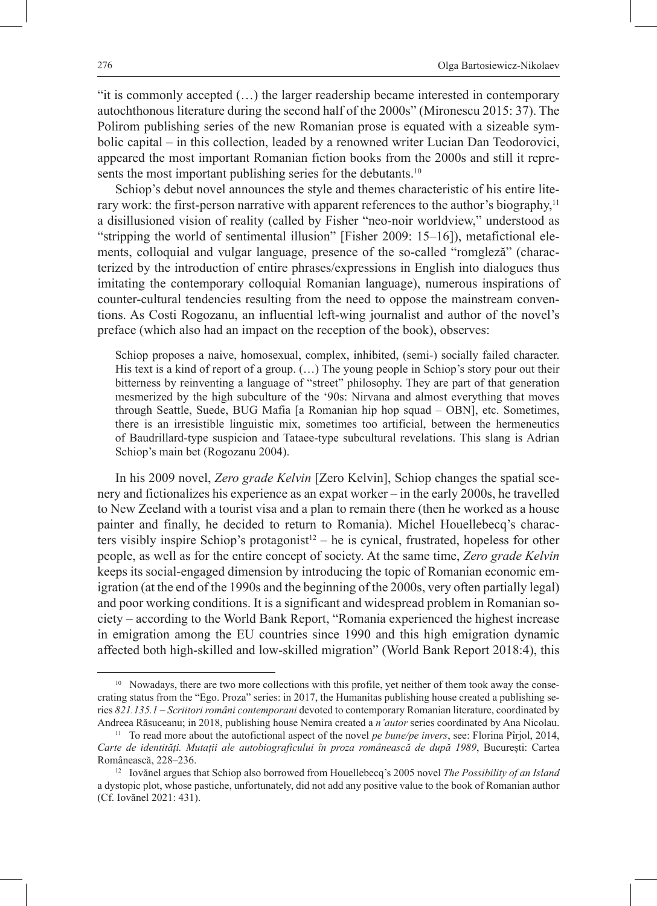"it is commonly accepted (…) the larger readership became interested in contemporary autochthonous literature during the second half of the 2000s" (Mironescu 2015: 37). The Polirom publishing series of the new Romanian prose is equated with a sizeable symbolic capital – in this collection, leaded by a renowned writer Lucian Dan Teodorovici, appeared the most important Romanian fiction books from the 2000s and still it represents the most important publishing series for the debutants.<sup>10</sup>

Schiop's debut novel announces the style and themes characteristic of his entire literary work: the first-person narrative with apparent references to the author's biography,<sup>11</sup> a disillusioned vision of reality (called by Fisher "neo-noir worldview," understood as "stripping the world of sentimental illusion" [Fisher 2009: 15-16]), metafictional elements, colloquial and vulgar language, presence of the so-called "romgleză" (characterized by the introduction of entire phrases/expressions in English into dialogues thus imitating the contemporary colloquial Romanian language), numerous inspirations of counter-cultural tendencies resulting from the need to oppose the mainstream conventions. As Costi Rogozanu, an influential left-wing journalist and author of the novel's preface (which also had an impact on the reception of the book), observes:

Schiop proposes a naive, homosexual, complex, inhibited, (semi-) socially failed character. His text is a kind of report of a group. (…) The young people in Schiop's story pour out their bitterness by reinventing a language of "street" philosophy. They are part of that generation mesmerized by the high subculture of the '90s: Nirvana and almost everything that moves through Seattle, Suede, BUG Mafia [a Romanian hip hop squad – OBN], etc. Sometimes, there is an irresistible linguistic mix, sometimes too artificial, between the hermeneutics of Baudrillard-type suspicion and Tataee-type subcultural revelations. This slang is Adrian Schiop's main bet (Rogozanu 2004).

In his 2009 novel, *Zero grade Kelvin* [Zero Kelvin], Schiop changes the spatial scenery and fictionalizes his experience as an expat worker – in the early 2000s, he travelled to New Zeeland with a tourist visa and a plan to remain there (then he worked as a house painter and finally, he decided to return to Romania). Michel Houellebecq's characters visibly inspire Schiop's protagonist<sup>12</sup> – he is cynical, frustrated, hopeless for other people, as well as for the entire concept of society. At the same time, *Zero grade Kelvin* keeps its social-engaged dimension by introducing the topic of Romanian economic emigration (at the end of the 1990s and the beginning of the 2000s, very often partially legal) and poor working conditions. It is a significant and widespread problem in Romanian society – according to the World Bank Report, "Romania experienced the highest increase in emigration among the EU countries since 1990 and this high emigration dynamic affected both high-skilled and low-skilled migration" (World Bank Report 2018:4), this

<sup>&</sup>lt;sup>10</sup> Nowadays, there are two more collections with this profile, yet neither of them took away the consecrating status from the "Ego. Proza" series: in 2017, the Humanitas publishing house created a publishing series *821.135.1 ‒ Scriitori români contemporani* devoted to contemporary Romanian literature, coordinated by Andreea Răsuceanu; in 2018, publishing house Nemira created a *n'autor* series coordinated by Ana Nicolau.<br><sup>11</sup> To read more about the autofictional aspect of the novel *pe bune/pe invers*, see: Florina Pîrjol, 2014,

*Carte de identități. Mutații ale autobiograficului în proza românească de după 1989*, București: Cartea Românească, 228‒236.

<sup>12</sup> Iovănel argues that Schiop also borrowed from Houellebecq's 2005 novel *The Possibility of an Island* a dystopic plot, whose pastiche, unfortunately, did not add any positive value to the book of Romanian author (Cf. Iovănel 2021: 431).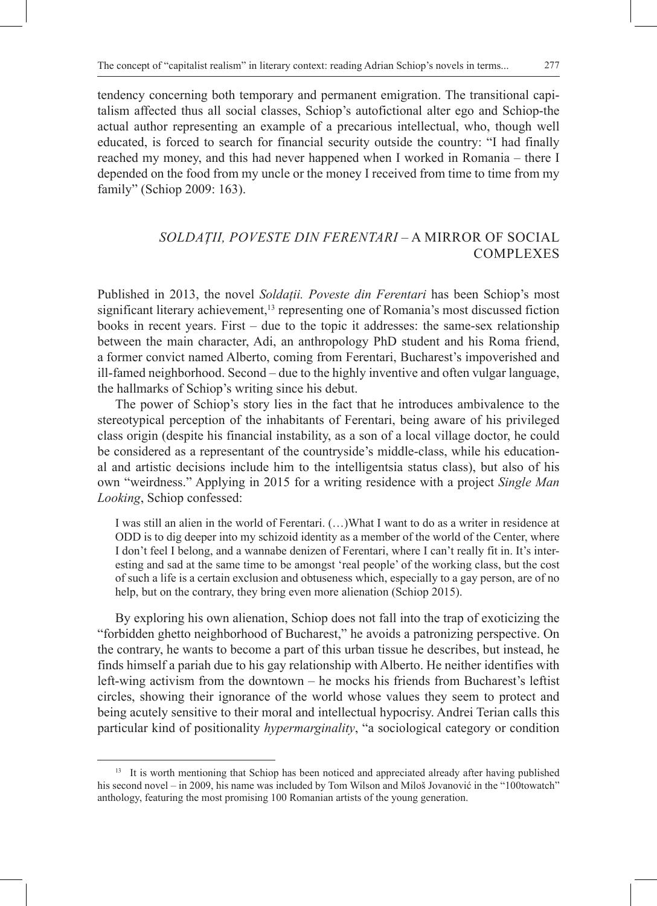tendency concerning both temporary and permanent emigration. The transitional capitalism affected thus all social classes, Schiop's autofictional alter ego and Schiop-the actual author representing an example of a precarious intellectual, who, though well educated, is forced to search for financial security outside the country: "I had finally reached my money, and this had never happened when I worked in Romania – there I depended on the food from my uncle or the money I received from time to time from my family" (Schiop 2009: 163).

### *SOLDAȚII, POVESTE DIN FERENTARI* – A MIRROR OF SOCIAL **COMPLEXES**

Published in 2013, the novel *Soldații. Poveste din Ferentari* has been Schiop's most significant literary achievement,<sup>13</sup> representing one of Romania's most discussed fiction books in recent years. First – due to the topic it addresses: the same-sex relationship between the main character, Adi, an anthropology PhD student and his Roma friend, a former convict named Alberto, coming from Ferentari, Bucharest's impoverished and ill-famed neighborhood. Second – due to the highly inventive and often vulgar language, the hallmarks of Schiop's writing since his debut.

The power of Schiop's story lies in the fact that he introduces ambivalence to the stereotypical perception of the inhabitants of Ferentari, being aware of his privileged class origin (despite his financial instability, as a son of a local village doctor, he could be considered as a representant of the countryside's middle-class, while his educational and artistic decisions include him to the intelligentsia status class), but also of his own "weirdness." Applying in 2015 for a writing residence with a project *Single Man Looking*, Schiop confessed:

I was still an alien in the world of Ferentari. (…)What I want to do as a writer in residence at ODD is to dig deeper into my schizoid identity as a member of the world of the Center, where I don't feel I belong, and a wannabe denizen of Ferentari, where I can't really fit in. It's interesting and sad at the same time to be amongst 'real people' of the working class, but the cost of such a life is a certain exclusion and obtuseness which, especially to a gay person, are of no help, but on the contrary, they bring even more alienation (Schiop 2015).

By exploring his own alienation, Schiop does not fall into the trap of exoticizing the "forbidden ghetto neighborhood of Bucharest," he avoids a patronizing perspective. On the contrary, he wants to become a part of this urban tissue he describes, but instead, he finds himself a pariah due to his gay relationship with Alberto. He neither identifies with left-wing activism from the downtown  $-$  he mocks his friends from Bucharest's leftist circles, showing their ignorance of the world whose values they seem to protect and being acutely sensitive to their moral and intellectual hypocrisy. Andrei Terian calls this particular kind of positionality *hypermarginality*, "a sociological category or condition

<sup>&</sup>lt;sup>13</sup> It is worth mentioning that Schiop has been noticed and appreciated already after having published his second novel – in 2009, his name was included by Tom Wilson and Miloš Jovanović in the "100towatch" anthology, featuring the most promising 100 Romanian artists of the young generation.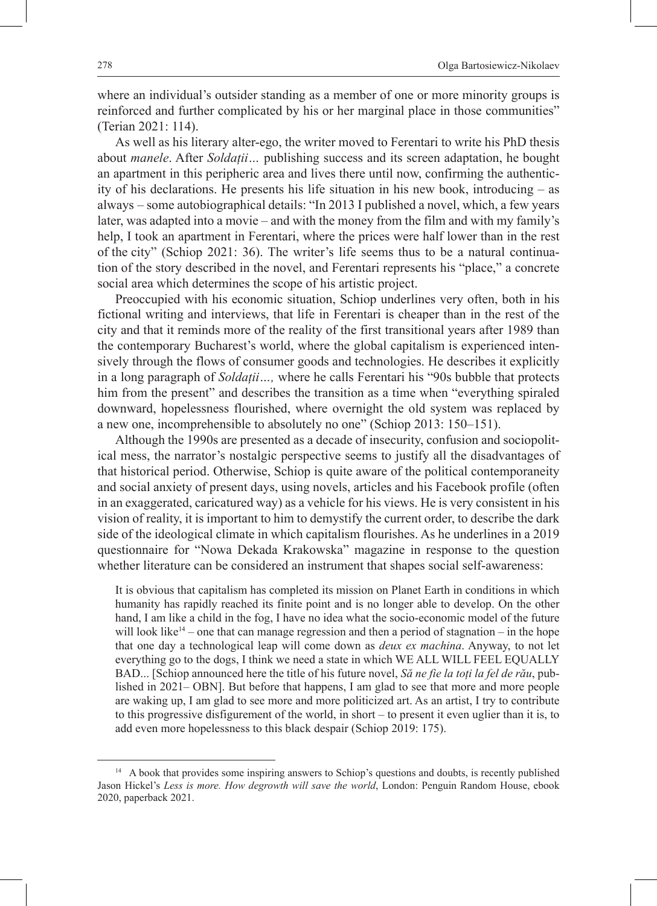where an individual's outsider standing as a member of one or more minority groups is reinforced and further complicated by his or her marginal place in those communities" (Terian 2021: 114).

As well as his literary alter-ego, the writer moved to Ferentari to write his PhD thesis about *manele*. After *Soldații…* publishing success and its screen adaptation, he bought an apartment in this peripheric area and lives there until now, confirming the authenticity of his declarations. He presents his life situation in his new book, introducing – as always – some autobiographical details: "In 2013 I published a novel, which, a few years later, was adapted into a movie – and with the money from the film and with my family's help, I took an apartment in Ferentari, where the prices were half lower than in the rest of the city" (Schiop 2021: 36). The writer's life seems thus to be a natural continuation of the story described in the novel, and Ferentari represents his "place," a concrete social area which determines the scope of his artistic project.

Preoccupied with his economic situation, Schiop underlines very often, both in his fictional writing and interviews, that life in Ferentari is cheaper than in the rest of the city and that it reminds more of the reality of the first transitional years after 1989 than the contemporary Bucharest's world, where the global capitalism is experienced intensively through the flows of consumer goods and technologies. He describes it explicitly in a long paragraph of *Soldații…,* where he calls Ferentari his "90s bubble that protects him from the present" and describes the transition as a time when "everything spiraled downward, hopelessness flourished, where overnight the old system was replaced by a new one, incomprehensible to absolutely no one" (Schiop 2013: 150–151).

Although the 1990s are presented as a decade of insecurity, confusion and sociopolitical mess, the narrator's nostalgic perspective seems to justify all the disadvantages of that historical period. Otherwise, Schiop is quite aware of the political contemporaneity and social anxiety of present days, using novels, articles and his Facebook profile (often in an exaggerated, caricatured way) as a vehicle for his views. He is very consistent in his vision of reality, it is important to him to demystify the current order, to describe the dark side of the ideological climate in which capitalism flourishes. As he underlines in a 2019 questionnaire for "Nowa Dekada Krakowska" magazine in response to the question whether literature can be considered an instrument that shapes social self-awareness:

It is obvious that capitalism has completed its mission on Planet Earth in conditions in which humanity has rapidly reached its finite point and is no longer able to develop. On the other hand, I am like a child in the fog, I have no idea what the socio-economic model of the future will look like<sup>14</sup> – one that can manage regression and then a period of stagnation – in the hope that one day a technological leap will come down as *deux ex machina*. Anyway, to not let everything go to the dogs, I think we need a state in which WE ALL WILL FEEL EQUALLY BAD... [Schiop announced here the title of his future novel, *Să ne fie la toți la fel de rău*, published in 2021– OBN]. But before that happens, I am glad to see that more and more people are waking up, I am glad to see more and more politicized art. As an artist, I try to contribute to this progressive disfigurement of the world, in short – to present it even uglier than it is, to add even more hopelessness to this black despair (Schiop 2019: 175).

<sup>&</sup>lt;sup>14</sup> A book that provides some inspiring answers to Schiop's questions and doubts, is recently published Jason Hickel's *Less is more. How degrowth will save the world*, London: Penguin Random House, ebook 2020, paperback 2021.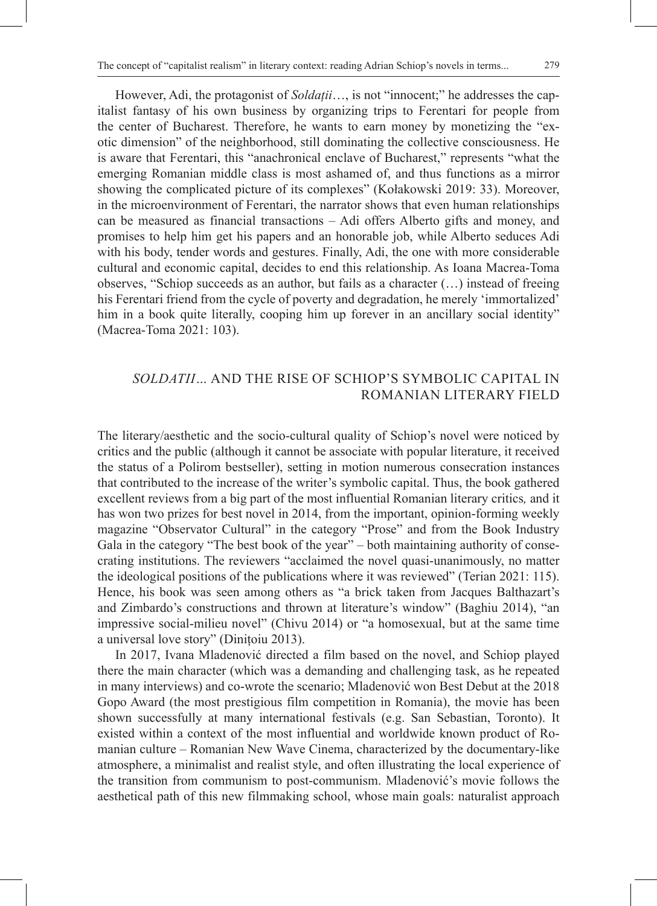However, Adi, the protagonist of *Soldații*…, is not "innocent;" he addresses the capitalist fantasy of his own business by organizing trips to Ferentari for people from the center of Bucharest. Therefore, he wants to earn money by monetizing the "exotic dimension" of the neighborhood, still dominating the collective consciousness. He is aware that Ferentari, this "anachronical enclave of Bucharest," represents "what the emerging Romanian middle class is most ashamed of, and thus functions as a mirror showing the complicated picture of its complexes" (Kołakowski 2019: 33). Moreover, in the microenvironment of Ferentari, the narrator shows that even human relationships can be measured as financial transactions – Adi offers Alberto gifts and money, and promises to help him get his papers and an honorable job, while Alberto seduces Adi with his body, tender words and gestures. Finally, Adi, the one with more considerable cultural and economic capital, decides to end this relationship. As Ioana Macrea-Toma observes, "Schiop succeeds as an author, but fails as a character (…) instead of freeing his Ferentari friend from the cycle of poverty and degradation, he merely 'immortalized' him in a book quite literally, cooping him up forever in an ancillary social identity" (Macrea-Toma 2021: 103).

## *SOLDATII…* AND THE RISE OF SCHIOP'S SYMBOLIC CAPITAL IN ROMANIAN LITERARY FIELD

The literary/aesthetic and the socio-cultural quality of Schiop's novel were noticed by critics and the public (although it cannot be associate with popular literature, it received the status of a Polirom bestseller), setting in motion numerous consecration instances that contributed to the increase of the writer's symbolic capital. Thus, the book gathered excellent reviews from a big part of the most influential Romanian literary critics*,* and it has won two prizes for best novel in 2014, from the important, opinion-forming weekly magazine "Observator Cultural" in the category "Prose" and from the Book Industry Gala in the category "The best book of the year" – both maintaining authority of consecrating institutions. The reviewers "acclaimed the novel quasi-unanimously, no matter the ideological positions of the publications where it was reviewed" (Terian 2021: 115). Hence, his book was seen among others as "a brick taken from Jacques Balthazart's and Zimbardo's constructions and thrown at literature's window" (Baghiu 2014), "an impressive social-milieu novel" (Chivu 2014) or "a homosexual, but at the same time a universal love story" (Dinițoiu 2013).

In 2017, Ivana Mladenović directed a film based on the novel, and Schiop played there the main character (which was a demanding and challenging task, as he repeated in many interviews) and co-wrote the scenario; Mladenović won Best Debut at the 2018 Gopo Award (the most prestigious film competition in Romania), the movie has been shown successfully at many international festivals (e.g. San Sebastian, Toronto). It existed within a context of the most influential and worldwide known product of Romanian culture – Romanian New Wave Cinema, characterized by the documentary-like atmosphere, a minimalist and realist style, and often illustrating the local experience of the transition from communism to post-communism. Mladenović's movie follows the aesthetical path of this new filmmaking school, whose main goals: naturalist approach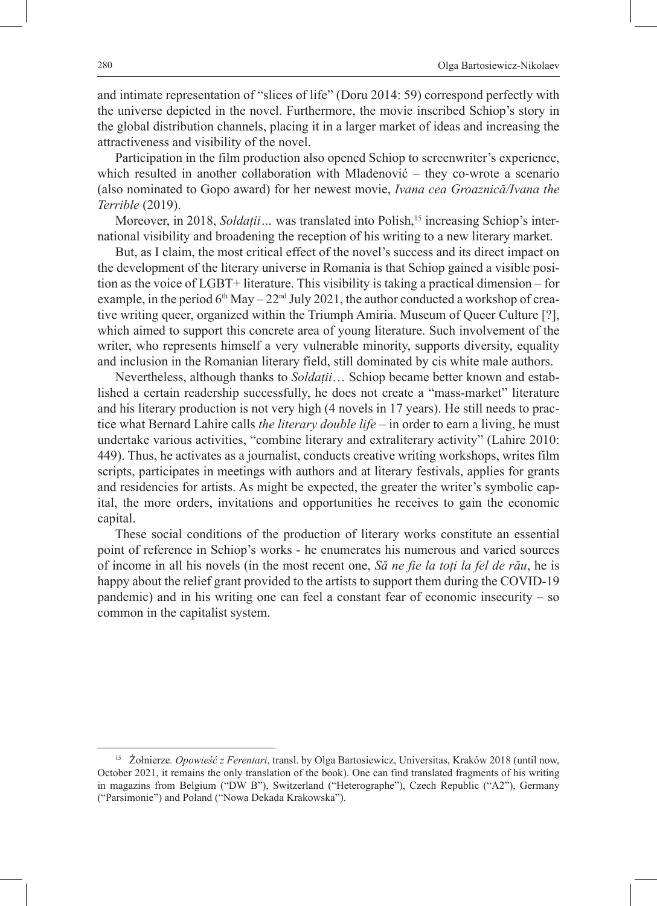and intimate representation of "slices of life" (Doru 2014: 59) correspond perfectly with the universe depicted in the novel. Furthermore, the movie inscribed Schiop's story in the global distribution channels, placing it in a larger market of ideas and increasing the attractiveness and visibility of the novel.

Participation in the film production also opened Schiop to screenwriter's experience, which resulted in another collaboration with Mladenović – they co-wrote a scenario (also nominated to Gopo award) for her newest movie, *Ivana cea Groaznică/Ivana the Terrible* (2019).

Moreover, in 2018, *Soldații* ... was translated into Polish,<sup>15</sup> increasing Schiop's international visibility and broadening the reception of his writing to a new literary market.

But, as I claim, the most critical effect of the novel's success and its direct impact on the development of the literary universe in Romania is that Schiop gained a visible position as the voice of LGBT+ literature. This visibility is taking a practical dimension – for example, in the period  $6<sup>th</sup>$  May – 22<sup>nd</sup> July 2021, the author conducted a workshop of creative writing queer, organized within the Triumph Amiria. Museum of Queer Culture [?], which aimed to support this concrete area of young literature. Such involvement of the writer, who represents himself a very vulnerable minority, supports diversity, equality and inclusion in the Romanian literary field, still dominated by cis white male authors.

Nevertheless, although thanks to *Soldații*… Schiop became better known and established a certain readership successfully, he does not create a "mass-market" literature and his literary production is not very high (4 novels in 17 years). He still needs to practice what Bernard Lahire calls *the literary double life* – in order to earn a living, he must undertake various activities, "combine literary and extraliterary activity" (Lahire 2010: 449). Thus, he activates as a journalist, conducts creative writing workshops, writes film scripts, participates in meetings with authors and at literary festivals, applies for grants and residencies for artists. As might be expected, the greater the writer's symbolic capital, the more orders, invitations and opportunities he receives to gain the economic capital.

These social conditions of the production of literary works constitute an essential point of reference in Schiop's works - he enumerates his numerous and varied sources of income in all his novels (in the most recent one, *Să ne fie la toți la fel de rău*, he is happy about the relief grant provided to the artists to support them during the COVID-19 pandemic) and in his writing one can feel a constant fear of economic insecurity – so common in the capitalist system.

<sup>15</sup> Żołnierze*. Opowieść z Ferentari*, transl. by Olga Bartosiewicz, Universitas, Kraków 2018 (until now, October 2021, it remains the only translation of the book). One can find translated fragments of his writing in magazins from Belgium ("DW B"), Switzerland ("Heterographe"), Czech Republic ("A2"), Germany ("Parsimonie") and Poland ("Nowa Dekada Krakowska").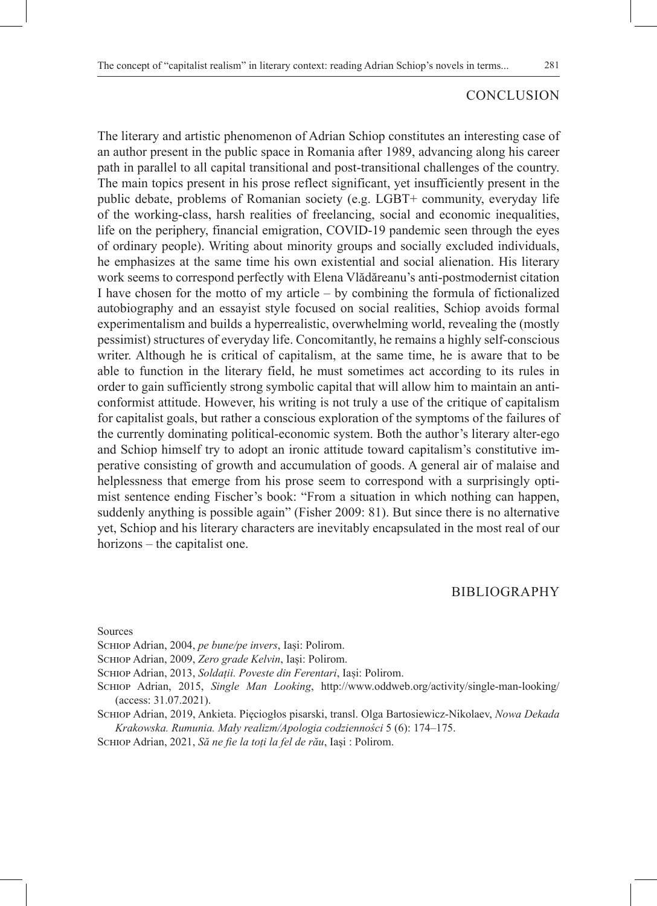### CONCLUSION

The literary and artistic phenomenon of Adrian Schiop constitutes an interesting case of an author present in the public space in Romania after 1989, advancing along his career path in parallel to all capital transitional and post-transitional challenges of the country. The main topics present in his prose reflect significant, yet insufficiently present in the public debate, problems of Romanian society (e.g. LGBT+ community, everyday life of the working-class, harsh realities of freelancing, social and economic inequalities, life on the periphery, financial emigration, COVID-19 pandemic seen through the eyes of ordinary people). Writing about minority groups and socially excluded individuals, he emphasizes at the same time his own existential and social alienation. His literary work seems to correspond perfectly with Elena Vlădăreanu's anti-postmodernist citation I have chosen for the motto of my article – by combining the formula of fictionalized autobiography and an essayist style focused on social realities, Schiop avoids formal experimentalism and builds a hyperrealistic, overwhelming world, revealing the (mostly pessimist) structures of everyday life. Concomitantly, he remains a highly self-conscious writer. Although he is critical of capitalism, at the same time, he is aware that to be able to function in the literary field, he must sometimes act according to its rules in order to gain sufficiently strong symbolic capital that will allow him to maintain an anticonformist attitude. However, his writing is not truly a use of the critique of capitalism for capitalist goals, but rather a conscious exploration of the symptoms of the failures of the currently dominating political-economic system. Both the author's literary alter-ego and Schiop himself try to adopt an ironic attitude toward capitalism's constitutive imperative consisting of growth and accumulation of goods. A general air of malaise and helplessness that emerge from his prose seem to correspond with a surprisingly optimist sentence ending Fischer's book: "From a situation in which nothing can happen, suddenly anything is possible again" (Fisher 2009: 81). But since there is no alternative yet, Schiop and his literary characters are inevitably encapsulated in the most real of our horizons – the capitalist one.

### BIBLIOGRAPHY

Sources

Schiop Adrian, 2004, *pe bune/pe invers*, Iași: Polirom.

Schiop Adrian, 2009, *Zero grade Kelvin*, Iași: Polirom.

Schiop Adrian, 2013, *Soldații. Poveste din Ferentari*, Iași: Polirom.

Schiop Adrian, 2015, *Single Man Looking*, http://www.oddweb.org/activity/single-man-looking/ (access: 31.07.2021).

Schiop Adrian, 2019, Ankieta. Pięciogłos pisarski, transl. Olga Bartosiewicz-Nikolaev, *Nowa Dekada Krakowska. Rumunia. Mały realizm/Apologia codzienności* 5 (6): 174‒175.

Schiop Adrian, 2021, *Să ne fie la toți la fel de rău*, Iași : Polirom.